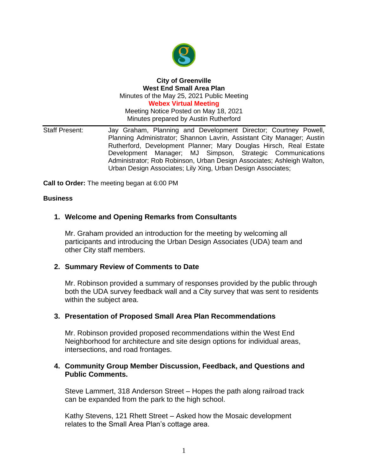

#### **City of Greenville West End Small Area Plan** Minutes of the May 25, 2021 Public Meeting **Webex Virtual Meeting**

Meeting Notice Posted on May 18, 2021 Minutes prepared by Austin Rutherford

Staff Present: Jay Graham, Planning and Development Director; Courtney Powell, Planning Administrator; Shannon Lavrin, Assistant City Manager; Austin Rutherford, Development Planner; Mary Douglas Hirsch, Real Estate Development Manager; MJ Simpson, Strategic Communications Administrator; Rob Robinson, Urban Design Associates; Ashleigh Walton, Urban Design Associates; Lily Xing, Urban Design Associates;

**Call to Order:** The meeting began at 6:00 PM

### **Business**

## **1. Welcome and Opening Remarks from Consultants**

Mr. Graham provided an introduction for the meeting by welcoming all participants and introducing the Urban Design Associates (UDA) team and other City staff members.

### **2. Summary Review of Comments to Date**

Mr. Robinson provided a summary of responses provided by the public through both the UDA survey feedback wall and a City survey that was sent to residents within the subject area.

### **3. Presentation of Proposed Small Area Plan Recommendations**

Mr. Robinson provided proposed recommendations within the West End Neighborhood for architecture and site design options for individual areas, intersections, and road frontages.

## **4. Community Group Member Discussion, Feedback, and Questions and Public Comments.**

Steve Lammert, 318 Anderson Street – Hopes the path along railroad track can be expanded from the park to the high school.

Kathy Stevens, 121 Rhett Street – Asked how the Mosaic development relates to the Small Area Plan's cottage area.